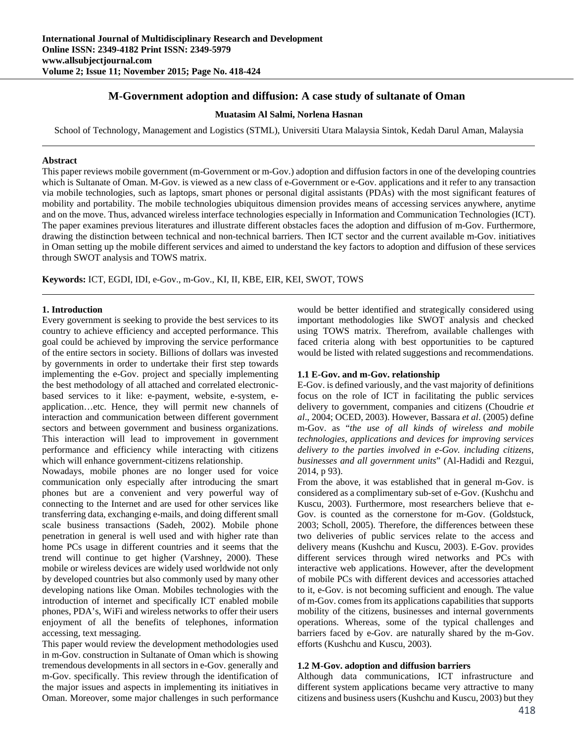# **M-Government adoption and diffusion: A case study of sultanate of Oman**

#### **Muatasim Al Salmi, Norlena Hasnan**

School of Technology, Management and Logistics (STML), Universiti Utara Malaysia Sintok, Kedah Darul Aman, Malaysia

### **Abstract**

This paper reviews mobile government (m-Government or m-Gov.) adoption and diffusion factors in one of the developing countries which is Sultanate of Oman. M-Gov. is viewed as a new class of e-Government or e-Gov. applications and it refer to any transaction via mobile technologies, such as laptops, smart phones or personal digital assistants (PDAs) with the most significant features of mobility and portability. The mobile technologies ubiquitous dimension provides means of accessing services anywhere, anytime and on the move. Thus, advanced wireless interface technologies especially in Information and Communication Technologies (ICT). The paper examines previous literatures and illustrate different obstacles faces the adoption and diffusion of m-Gov. Furthermore, drawing the distinction between technical and non-technical barriers. Then ICT sector and the current available m-Gov. initiatives in Oman setting up the mobile different services and aimed to understand the key factors to adoption and diffusion of these services through SWOT analysis and TOWS matrix.

**Keywords:** ICT, EGDI, IDI, e-Gov., m-Gov., KI, II, KBE, EIR, KEI, SWOT, TOWS

# **1. Introduction**

Every government is seeking to provide the best services to its country to achieve efficiency and accepted performance. This goal could be achieved by improving the service performance of the entire sectors in society. Billions of dollars was invested by governments in order to undertake their first step towards implementing the e-Gov. project and specially implementing the best methodology of all attached and correlated electronicbased services to it like: e-payment, website, e-system, eapplication…etc. Hence, they will permit new channels of interaction and communication between different government sectors and between government and business organizations. This interaction will lead to improvement in government performance and efficiency while interacting with citizens which will enhance government-citizens relationship.

Nowadays, mobile phones are no longer used for voice communication only especially after introducing the smart phones but are a convenient and very powerful way of connecting to the Internet and are used for other services like transferring data, exchanging e-mails, and doing different small scale business transactions (Sadeh, 2002). Mobile phone penetration in general is well used and with higher rate than home PCs usage in different countries and it seems that the trend will continue to get higher (Varshney, 2000). These mobile or wireless devices are widely used worldwide not only by developed countries but also commonly used by many other developing nations like Oman. Mobiles technologies with the introduction of internet and specifically ICT enabled mobile phones, PDA's, WiFi and wireless networks to offer their users enjoyment of all the benefits of telephones, information accessing, text messaging.

This paper would review the development methodologies used in m-Gov. construction in Sultanate of Oman which is showing tremendous developments in all sectors in e-Gov. generally and m-Gov. specifically. This review through the identification of the major issues and aspects in implementing its initiatives in Oman. Moreover, some major challenges in such performance

would be better identified and strategically considered using important methodologies like SWOT analysis and checked using TOWS matrix. Therefrom, available challenges with faced criteria along with best opportunities to be captured would be listed with related suggestions and recommendations.

# **1.1 E-Gov. and m-Gov. relationship**

E-Gov. is defined variously, and the vast majority of definitions focus on the role of ICT in facilitating the public services delivery to government, companies and citizens (Choudrie *et al*., 2004; OCED, 2003). However, Bassara *et al*. (2005) define m-Gov. as "*the use of all kinds of wireless and mobile technologies, applications and devices for improving services delivery to the parties involved in e-Gov. including citizens, businesses and all government units*" (Al-Hadidi and Rezgui, 2014, p 93).

From the above, it was established that in general m-Gov. is considered as a complimentary sub-set of e-Gov. (Kushchu and Kuscu, 2003). Furthermore, most researchers believe that e-Gov. is counted as the cornerstone for m-Gov. (Goldstuck, 2003; Scholl, 2005). Therefore, the differences between these two deliveries of public services relate to the access and delivery means (Kushchu and Kuscu, 2003). E-Gov. provides different services through wired networks and PCs with interactive web applications. However, after the development of mobile PCs with different devices and accessories attached to it, e-Gov. is not becoming sufficient and enough. The value of m-Gov. comes from its applications capabilities that supports mobility of the citizens, businesses and internal governments operations. Whereas, some of the typical challenges and barriers faced by e-Gov. are naturally shared by the m-Gov. efforts (Kushchu and Kuscu, 2003).

# **1.2 M-Gov. adoption and diffusion barriers**

Although data communications, ICT infrastructure and different system applications became very attractive to many citizens and business users (Kushchu and Kuscu, 2003) but they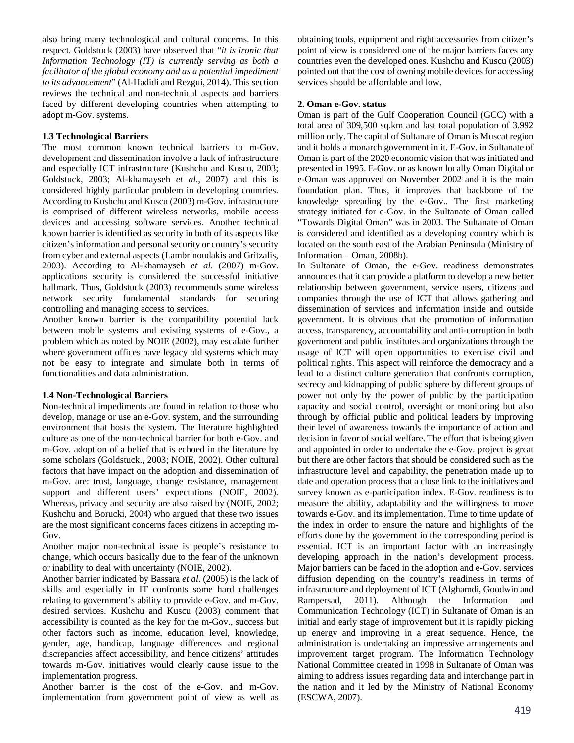also bring many technological and cultural concerns. In this respect, Goldstuck (2003) have observed that "*it is ironic that Information Technology (IT) is currently serving as both a facilitator of the global economy and as a potential impediment to its advancement*" (Al-Hadidi and Rezgui, 2014). This section reviews the technical and non-technical aspects and barriers faced by different developing countries when attempting to adopt m-Gov. systems.

# **1.3 Technological Barriers**

The most common known technical barriers to m-Gov. development and dissemination involve a lack of infrastructure and especially ICT infrastructure (Kushchu and Kuscu, 2003; Goldstuck, 2003; Al-khamayseh *et al*., 2007) and this is considered highly particular problem in developing countries. According to Kushchu and Kuscu (2003) m-Gov. infrastructure is comprised of different wireless networks, mobile access devices and accessing software services. Another technical known barrier is identified as security in both of its aspects like citizen's information and personal security or country's security from cyber and external aspects (Lambrinoudakis and Gritzalis, 2003). According to Al-khamayseh *et al*. (2007) m-Gov. applications security is considered the successful initiative hallmark. Thus, Goldstuck (2003) recommends some wireless network security fundamental standards for securing controlling and managing access to services.

Another known barrier is the compatibility potential lack between mobile systems and existing systems of e-Gov., a problem which as noted by NOIE (2002), may escalate further where government offices have legacy old systems which may not be easy to integrate and simulate both in terms of functionalities and data administration.

# **1.4 Non-Technological Barriers**

Non-technical impediments are found in relation to those who develop, manage or use an e-Gov. system, and the surrounding environment that hosts the system. The literature highlighted culture as one of the non-technical barrier for both e-Gov. and m-Gov. adoption of a belief that is echoed in the literature by some scholars (Goldstuck., 2003; NOIE, 2002). Other cultural factors that have impact on the adoption and dissemination of m-Gov. are: trust, language, change resistance, management support and different users' expectations (NOIE, 2002). Whereas, privacy and security are also raised by (NOIE, 2002; Kushchu and Borucki, 2004) who argued that these two issues are the most significant concerns faces citizens in accepting m-Gov.

Another major non-technical issue is people's resistance to change, which occurs basically due to the fear of the unknown or inability to deal with uncertainty (NOIE, 2002).

Another barrier indicated by Bassara *et al*. (2005) is the lack of skills and especially in IT confronts some hard challenges relating to government's ability to provide e-Gov. and m-Gov. desired services. Kushchu and Kuscu (2003) comment that accessibility is counted as the key for the m-Gov., success but other factors such as income, education level, knowledge, gender, age, handicap, language differences and regional discrepancies affect accessibility, and hence citizens' attitudes towards m-Gov. initiatives would clearly cause issue to the implementation progress.

Another barrier is the cost of the e-Gov. and m-Gov. implementation from government point of view as well as

obtaining tools, equipment and right accessories from citizen's point of view is considered one of the major barriers faces any countries even the developed ones. Kushchu and Kuscu (2003) pointed out that the cost of owning mobile devices for accessing services should be affordable and low.

# **2. Oman e-Gov. status**

Oman is part of the Gulf Cooperation Council (GCC) with a total area of 309,500 sq.km and last total population of 3.992 million only. The capital of Sultanate of Oman is Muscat region and it holds a monarch government in it. E-Gov. in Sultanate of Oman is part of the 2020 economic vision that was initiated and presented in 1995. E-Gov. or as known locally Oman Digital or e-Oman was approved on November 2002 and it is the main foundation plan. Thus, it improves that backbone of the knowledge spreading by the e-Gov.. The first marketing strategy initiated for e-Gov. in the Sultanate of Oman called "Towards Digital Oman" was in 2003. The Sultanate of Oman is considered and identified as a developing country which is located on the south east of the Arabian Peninsula (Ministry of Information – Oman, 2008b).

In Sultanate of Oman, the e-Gov. readiness demonstrates announces that it can provide a platform to develop a new better relationship between government, service users, citizens and companies through the use of ICT that allows gathering and dissemination of services and information inside and outside government. It is obvious that the promotion of information access, transparency, accountability and anti-corruption in both government and public institutes and organizations through the usage of ICT will open opportunities to exercise civil and political rights. This aspect will reinforce the democracy and a lead to a distinct culture generation that confronts corruption, secrecy and kidnapping of public sphere by different groups of power not only by the power of public by the participation capacity and social control, oversight or monitoring but also through by official public and political leaders by improving their level of awareness towards the importance of action and decision in favor of social welfare. The effort that is being given and appointed in order to undertake the e-Gov. project is great but there are other factors that should be considered such as the infrastructure level and capability, the penetration made up to date and operation process that a close link to the initiatives and survey known as e-participation index. E-Gov. readiness is to measure the ability, adaptability and the willingness to move towards e-Gov. and its implementation. Time to time update of the index in order to ensure the nature and highlights of the efforts done by the government in the corresponding period is essential. ICT is an important factor with an increasingly developing approach in the nation's development process. Major barriers can be faced in the adoption and e-Gov. services diffusion depending on the country's readiness in terms of infrastructure and deployment of ICT (Alghamdi, Goodwin and Rampersad, 2011). Although the Information and Communication Technology (ICT) in Sultanate of Oman is an initial and early stage of improvement but it is rapidly picking up energy and improving in a great sequence. Hence, the administration is undertaking an impressive arrangements and improvement target program. The Information Technology National Committee created in 1998 in Sultanate of Oman was aiming to address issues regarding data and interchange part in the nation and it led by the Ministry of National Economy (ESCWA, 2007).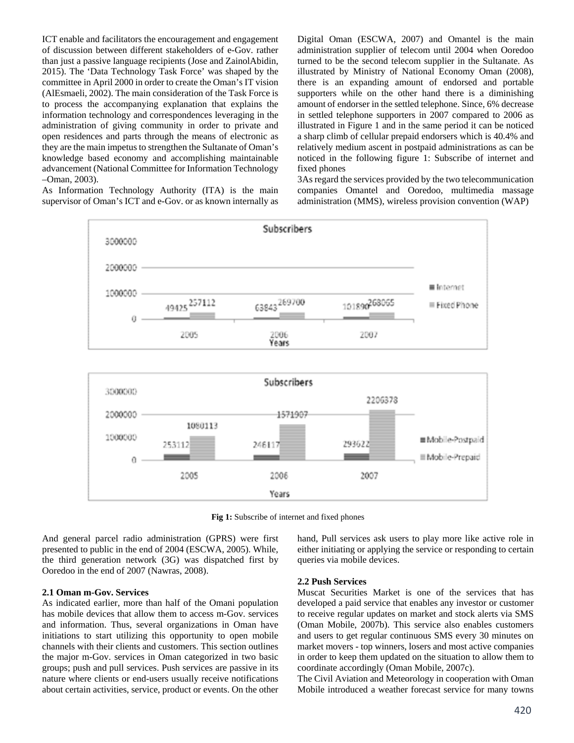ICT enable and facilitators the encouragement and engagement of discussion between different stakeholders of e-Gov. rather than just a passive language recipients (Jose and ZainolAbidin, 2015). The 'Data Technology Task Force' was shaped by the committee in April 2000 in order to create the Oman's IT vision (AlEsmaeli, 2002). The main consideration of the Task Force is to process the accompanying explanation that explains the information technology and correspondences leveraging in the administration of giving community in order to private and open residences and parts through the means of electronic as they are the main impetus to strengthen the Sultanate of Oman's knowledge based economy and accomplishing maintainable advancement (National Committee for Information Technology –Oman, 2003).

As Information Technology Authority (ITA) is the main supervisor of Oman's ICT and e-Gov. or as known internally as

Digital Oman (ESCWA, 2007) and Omantel is the main administration supplier of telecom until 2004 when Ooredoo turned to be the second telecom supplier in the Sultanate. As illustrated by Ministry of National Economy Oman (2008), there is an expanding amount of endorsed and portable supporters while on the other hand there is a diminishing amount of endorser in the settled telephone. Since, 6% decrease in settled telephone supporters in 2007 compared to 2006 as illustrated in Figure 1 and in the same period it can be noticed a sharp climb of cellular prepaid endorsers which is 40.4% and relatively medium ascent in postpaid administrations as can be noticed in the following figure 1: Subscribe of internet and fixed phones

3As regard the services provided by the two telecommunication companies Omantel and Ooredoo, multimedia massage administration (MMS), wireless provision convention (WAP)



**Fig 1:** Subscribe of internet and fixed phones

And general parcel radio administration (GPRS) were first presented to public in the end of 2004 (ESCWA, 2005). While, the third generation network (3G) was dispatched first by Ooredoo in the end of 2007 (Nawras, 2008).

#### **2.1 Oman m-Gov. Services**

As indicated earlier, more than half of the Omani population has mobile devices that allow them to access m-Gov. services and information. Thus, several organizations in Oman have initiations to start utilizing this opportunity to open mobile channels with their clients and customers. This section outlines the major m-Gov. services in Oman categorized in two basic groups; push and pull services. Push services are passive in its nature where clients or end-users usually receive notifications about certain activities, service, product or events. On the other

### **2.2 Push Services**

queries via mobile devices.

Muscat Securities Market is one of the services that has developed a paid service that enables any investor or customer to receive regular updates on market and stock alerts via SMS (Oman Mobile, 2007b). This service also enables customers and users to get regular continuous SMS every 30 minutes on market movers - top winners, losers and most active companies in order to keep them updated on the situation to allow them to coordinate accordingly (Oman Mobile, 2007c).

hand, Pull services ask users to play more like active role in either initiating or applying the service or responding to certain

The Civil Aviation and Meteorology in cooperation with Oman Mobile introduced a weather forecast service for many towns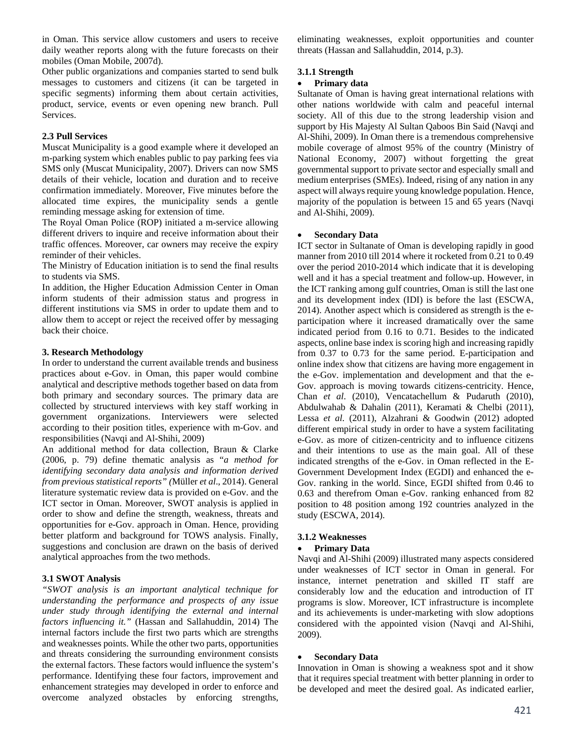in Oman. This service allow customers and users to receive daily weather reports along with the future forecasts on their mobiles (Oman Mobile, 2007d).

Other public organizations and companies started to send bulk messages to customers and citizens (it can be targeted in specific segments) informing them about certain activities, product, service, events or even opening new branch. Pull Services.

#### **2.3 Pull Services**

Muscat Municipality is a good example where it developed an m-parking system which enables public to pay parking fees via SMS only (Muscat Municipality, 2007). Drivers can now SMS details of their vehicle, location and duration and to receive confirmation immediately. Moreover, Five minutes before the allocated time expires, the municipality sends a gentle reminding message asking for extension of time.

The Royal Oman Police (ROP) initiated a m-service allowing different drivers to inquire and receive information about their traffic offences. Moreover, car owners may receive the expiry reminder of their vehicles.

The Ministry of Education initiation is to send the final results to students via SMS.

In addition, the Higher Education Admission Center in Oman inform students of their admission status and progress in different institutions via SMS in order to update them and to allow them to accept or reject the received offer by messaging back their choice.

#### **3. Research Methodology**

In order to understand the current available trends and business practices about e-Gov. in Oman, this paper would combine analytical and descriptive methods together based on data from both primary and secondary sources. The primary data are collected by structured interviews with key staff working in government organizations. Interviewers were selected according to their position titles, experience with m-Gov. and responsibilities (Navqi and Al-Shihi, 2009)

An additional method for data collection, Braun & Clarke (2006, p. 79) define thematic analysis as "*a method for identifying secondary data analysis and information derived from previous statistical reports" (*Müller *et al*., 2014). General literature systematic review data is provided on e-Gov. and the ICT sector in Oman. Moreover, SWOT analysis is applied in order to show and define the strength, weakness, threats and opportunities for e-Gov. approach in Oman. Hence, providing better platform and background for TOWS analysis. Finally, suggestions and conclusion are drawn on the basis of derived analytical approaches from the two methods.

# **3.1 SWOT Analysis**

*"SWOT analysis is an important analytical technique for understanding the performance and prospects of any issue under study through identifying the external and internal factors influencing it."* (Hassan and Sallahuddin, 2014) The internal factors include the first two parts which are strengths and weaknesses points. While the other two parts, opportunities and threats considering the surrounding environment consists the external factors. These factors would influence the system's performance. Identifying these four factors, improvement and enhancement strategies may developed in order to enforce and overcome analyzed obstacles by enforcing strengths,

eliminating weaknesses, exploit opportunities and counter threats (Hassan and Sallahuddin, 2014, p.3).

### **3.1.1 Strength**

# **Primary data**

Sultanate of Oman is having great international relations with other nations worldwide with calm and peaceful internal society. All of this due to the strong leadership vision and support by His Majesty Al Sultan Qaboos Bin Said (Navqi and Al-Shihi, 2009). In Oman there is a tremendous comprehensive mobile coverage of almost 95% of the country (Ministry of National Economy, 2007) without forgetting the great governmental support to private sector and especially small and medium enterprises (SMEs). Indeed, rising of any nation in any aspect will always require young knowledge population. Hence, majority of the population is between 15 and 65 years (Navqi and Al-Shihi, 2009).

### **Secondary Data**

ICT sector in Sultanate of Oman is developing rapidly in good manner from 2010 till 2014 where it rocketed from 0.21 to 0.49 over the period 2010-2014 which indicate that it is developing well and it has a special treatment and follow-up. However, in the ICT ranking among gulf countries, Oman is still the last one and its development index (IDI) is before the last (ESCWA, 2014). Another aspect which is considered as strength is the eparticipation where it increased dramatically over the same indicated period from 0.16 to 0.71. Besides to the indicated aspects, online base index is scoring high and increasing rapidly from 0.37 to 0.73 for the same period. E-participation and online index show that citizens are having more engagement in the e-Gov. implementation and development and that the e-Gov. approach is moving towards citizens-centricity. Hence, Chan *et al*. (2010), Vencatachellum & Pudaruth (2010), Abdulwahab & Dahalin (2011), Keramati & Chelbi (2011), Lessa *et al*. (2011), Alzahrani & Goodwin (2012) adopted different empirical study in order to have a system facilitating e-Gov. as more of citizen-centricity and to influence citizens and their intentions to use as the main goal. All of these indicated strengths of the e-Gov. in Oman reflected in the E-Government Development Index (EGDI) and enhanced the e-Gov. ranking in the world. Since, EGDI shifted from 0.46 to 0.63 and therefrom Oman e-Gov. ranking enhanced from 82 position to 48 position among 192 countries analyzed in the study (ESCWA, 2014).

# **3.1.2 Weaknesses**

#### **Primary Data**

Navqi and Al-Shihi (2009) illustrated many aspects considered under weaknesses of ICT sector in Oman in general. For instance, internet penetration and skilled IT staff are considerably low and the education and introduction of IT programs is slow. Moreover, ICT infrastructure is incomplete and its achievements is under-marketing with slow adoptions considered with the appointed vision (Navqi and Al-Shihi, 2009).

#### **Secondary Data**

Innovation in Oman is showing a weakness spot and it show that it requires special treatment with better planning in order to be developed and meet the desired goal. As indicated earlier,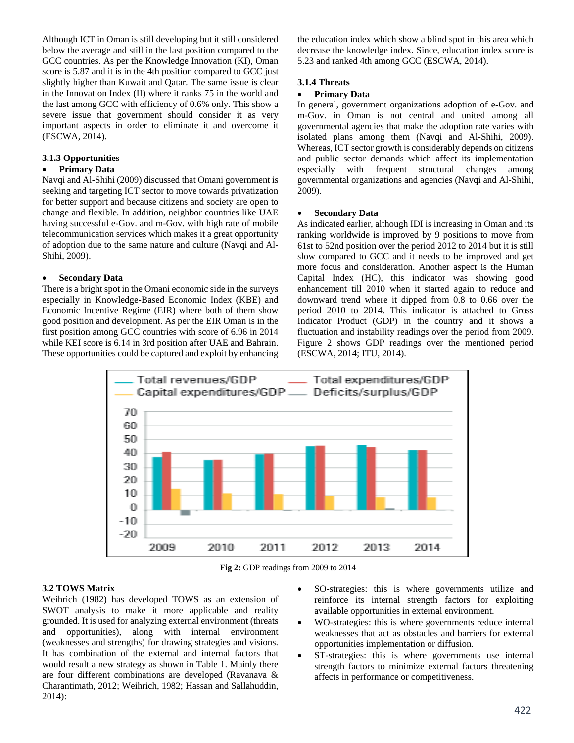Although ICT in Oman is still developing but it still considered below the average and still in the last position compared to the GCC countries. As per the Knowledge Innovation (KI), Oman score is 5.87 and it is in the 4th position compared to GCC just slightly higher than Kuwait and Qatar. The same issue is clear in the Innovation Index (II) where it ranks 75 in the world and the last among GCC with efficiency of 0.6% only. This show a severe issue that government should consider it as very important aspects in order to eliminate it and overcome it (ESCWA, 2014).

# **3.1.3 Opportunities**

# **Primary Data**

Navqi and Al-Shihi (2009) discussed that Omani government is seeking and targeting ICT sector to move towards privatization for better support and because citizens and society are open to change and flexible. In addition, neighbor countries like UAE having successful e-Gov. and m-Gov. with high rate of mobile telecommunication services which makes it a great opportunity of adoption due to the same nature and culture (Navqi and Al-Shihi, 2009).

### **Secondary Data**

There is a bright spot in the Omani economic side in the surveys especially in Knowledge-Based Economic Index (KBE) and Economic Incentive Regime (EIR) where both of them show good position and development. As per the EIR Oman is in the first position among GCC countries with score of 6.96 in 2014 while KEI score is 6.14 in 3rd position after UAE and Bahrain. These opportunities could be captured and exploit by enhancing

the education index which show a blind spot in this area which decrease the knowledge index. Since, education index score is 5.23 and ranked 4th among GCC (ESCWA, 2014).

#### **3.1.4 Threats**

#### **Primary Data**

In general, government organizations adoption of e-Gov. and m-Gov. in Oman is not central and united among all governmental agencies that make the adoption rate varies with isolated plans among them (Navqi and Al-Shihi, 2009). Whereas, ICT sector growth is considerably depends on citizens and public sector demands which affect its implementation especially with frequent structural changes among governmental organizations and agencies (Navqi and Al-Shihi, 2009).

#### **Secondary Data**

As indicated earlier, although IDI is increasing in Oman and its ranking worldwide is improved by 9 positions to move from 61st to 52nd position over the period 2012 to 2014 but it is still slow compared to GCC and it needs to be improved and get more focus and consideration. Another aspect is the Human Capital Index (HC), this indicator was showing good enhancement till 2010 when it started again to reduce and downward trend where it dipped from 0.8 to 0.66 over the period 2010 to 2014. This indicator is attached to Gross Indicator Product (GDP) in the country and it shows a fluctuation and instability readings over the period from 2009. Figure 2 shows GDP readings over the mentioned period (ESCWA, 2014; ITU, 2014).



**Fig 2:** GDP readings from 2009 to 2014

# **3.2 TOWS Matrix**

Weihrich (1982) has developed TOWS as an extension of SWOT analysis to make it more applicable and reality grounded. It is used for analyzing external environment (threats and opportunities), along with internal environment (weaknesses and strengths) for drawing strategies and visions. It has combination of the external and internal factors that would result a new strategy as shown in Table 1. Mainly there are four different combinations are developed (Ravanava & Charantimath, 2012; Weihrich, 1982; Hassan and Sallahuddin, 2014):

- SO-strategies: this is where governments utilize and reinforce its internal strength factors for exploiting available opportunities in external environment.
- WO-strategies: this is where governments reduce internal weaknesses that act as obstacles and barriers for external opportunities implementation or diffusion.
- ST-strategies: this is where governments use internal strength factors to minimize external factors threatening affects in performance or competitiveness.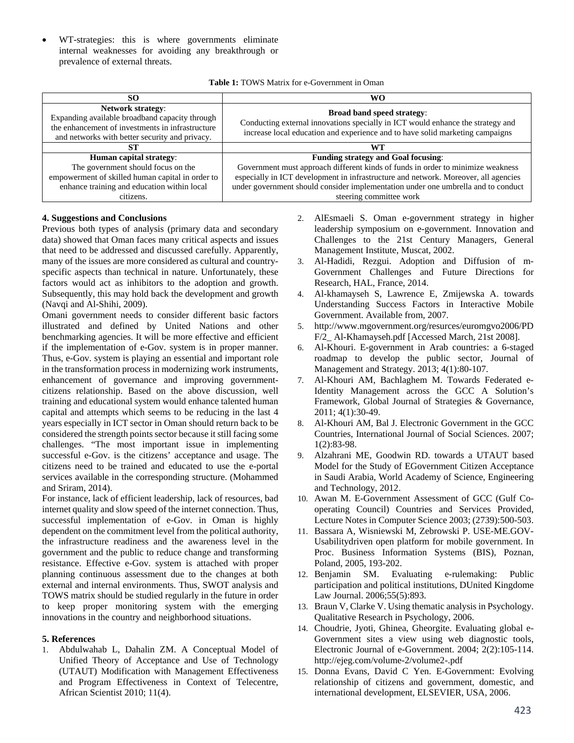WT-strategies: this is where governments eliminate internal weaknesses for avoiding any breakthrough or prevalence of external threats.

| <b>Table 1: TOWS Matrix for e-Government in Oman</b> |  |  |
|------------------------------------------------------|--|--|
|------------------------------------------------------|--|--|

| SO.                                                                                                                                                                              | WΟ                                                                                                                                                                                             |
|----------------------------------------------------------------------------------------------------------------------------------------------------------------------------------|------------------------------------------------------------------------------------------------------------------------------------------------------------------------------------------------|
| <b>Network strategy:</b><br>Expanding available broadband capacity through<br>the enhancement of investments in infrastructure<br>and networks with better security and privacy. | Broad band speed strategy:<br>Conducting external innovations specially in ICT would enhance the strategy and<br>increase local education and experience and to have solid marketing campaigns |
| ST                                                                                                                                                                               | W'I                                                                                                                                                                                            |
| Human capital strategy:                                                                                                                                                          | <b>Funding strategy and Goal focusing:</b>                                                                                                                                                     |
| The government should focus on the                                                                                                                                               | Government must approach different kinds of funds in order to minimize weakness                                                                                                                |
| empowerment of skilled human capital in order to                                                                                                                                 | especially in ICT development in infrastructure and network. Moreover, all agencies                                                                                                            |
| enhance training and education within local                                                                                                                                      | under government should consider implementation under one umbrella and to conduct                                                                                                              |
| citizens.                                                                                                                                                                        | steering committee work                                                                                                                                                                        |

### **4. Suggestions and Conclusions**

Previous both types of analysis (primary data and secondary data) showed that Oman faces many critical aspects and issues that need to be addressed and discussed carefully. Apparently, many of the issues are more considered as cultural and countryspecific aspects than technical in nature. Unfortunately, these factors would act as inhibitors to the adoption and growth. Subsequently, this may hold back the development and growth (Navqi and Al-Shihi, 2009).

Omani government needs to consider different basic factors illustrated and defined by United Nations and other benchmarking agencies. It will be more effective and efficient if the implementation of e-Gov. system is in proper manner. Thus, e-Gov. system is playing an essential and important role in the transformation process in modernizing work instruments, enhancement of governance and improving governmentcitizens relationship. Based on the above discussion, well training and educational system would enhance talented human capital and attempts which seems to be reducing in the last 4 years especially in ICT sector in Oman should return back to be considered the strength points sector because it still facing some challenges. "The most important issue in implementing successful e-Gov. is the citizens' acceptance and usage. The citizens need to be trained and educated to use the e-portal services available in the corresponding structure. (Mohammed and Sriram, 2014).

For instance, lack of efficient leadership, lack of resources, bad internet quality and slow speed of the internet connection. Thus, successful implementation of e-Gov. in Oman is highly dependent on the commitment level from the political authority, the infrastructure readiness and the awareness level in the government and the public to reduce change and transforming resistance. Effective e-Gov. system is attached with proper planning continuous assessment due to the changes at both external and internal environments. Thus, SWOT analysis and TOWS matrix should be studied regularly in the future in order to keep proper monitoring system with the emerging innovations in the country and neighborhood situations.

#### **5. References**

1. Abdulwahab L, Dahalin ZM. A Conceptual Model of Unified Theory of Acceptance and Use of Technology (UTAUT) Modification with Management Effectiveness and Program Effectiveness in Context of Telecentre, African Scientist 2010; 11(4).

- 2. AlEsmaeli S. Oman e-government strategy in higher leadership symposium on e-government. Innovation and Challenges to the 21st Century Managers, General Management Institute, Muscat, 2002.
- 3. Al-Hadidi, Rezgui. Adoption and Diffusion of m-Government Challenges and Future Directions for Research, HAL, France, 2014.
- 4. Al-khamayseh S, Lawrence E, Zmijewska A. towards Understanding Success Factors in Interactive Mobile Government. Available from, 2007.
- 5. http://www.mgovernment.org/resurces/euromgvo2006/PD F/2\_ Al-Khamayseh.pdf [Accessed March, 21st 2008].
- 6. Al-Khouri. E-government in Arab countries: a 6-staged roadmap to develop the public sector, Journal of Management and Strategy. 2013; 4(1):80-107.
- 7. Al-Khouri AM, Bachlaghem M. Towards Federated e-Identity Management across the GCC A Solution's Framework, Global Journal of Strategies & Governance, 2011; 4(1):30-49.
- 8. Al-Khouri AM, Bal J. Electronic Government in the GCC Countries, International Journal of Social Sciences. 2007; 1(2):83-98.
- 9. Alzahrani ME, Goodwin RD. towards a UTAUT based Model for the Study of EGovernment Citizen Acceptance in Saudi Arabia, World Academy of Science, Engineering and Technology, 2012.
- 10. Awan M. E-Government Assessment of GCC (Gulf Cooperating Council) Countries and Services Provided, Lecture Notes in Computer Science 2003; (2739):500-503.
- 11. Bassara A, Wisniewski M, Zebrowski P. USE-ME.GOV-Usabilitydriven open platform for mobile government. In Proc. Business Information Systems (BIS), Poznan, Poland, 2005, 193-202.
- 12. Benjamin SM. Evaluating e-rulemaking: Public participation and political institutions, DUnited Kingdome Law Journal. 2006;55(5):893.
- 13. Braun V, Clarke V. Using thematic analysis in Psychology. Qualitative Research in Psychology, 2006.
- 14. Choudrie, Jyoti, Ghinea, Gheorgite. Evaluating global e-Government sites a view using web diagnostic tools, Electronic Journal of e-Government. 2004; 2(2):105-114. http://ejeg.com/volume-2/volume2-.pdf
- 15. Donna Evans, David C Yen. E-Government: Evolving relationship of citizens and government, domestic, and international development, ELSEVIER, USA, 2006.